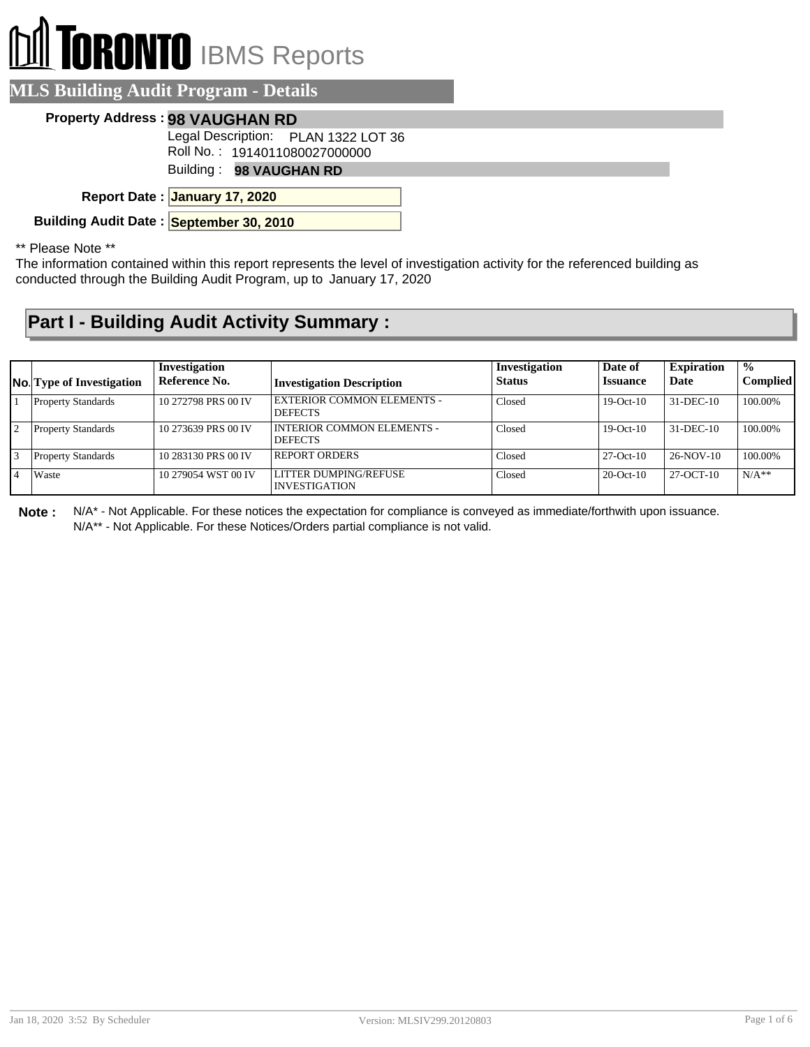# **RONTO** IBMS Reports

### **MLS Building Audit Program - Details**

#### **Property Address : 98 VAUGHAN RD**

Legal Description: PLAN 1322 LOT 36

Roll No. : 1914011080027000000

Building : **98 VAUGHAN RD**

**January 17, 2020 Report Date :**

**Building Audit Date : September 30, 2010**

#### \*\* Please Note \*\*

The information contained within this report represents the level of investigation activity for the referenced building as conducted through the Building Audit Program, up to January 17, 2020

## **Part I - Building Audit Activity Summary :**

|              | <b>No.</b> Type of Investigation | Investigation<br>Reference No. | <b>Investigation Description</b>                    | Investigation<br><b>Status</b> | Date of<br><b>Issuance</b> | <b>Expiration</b><br>Date | $\mathcal{O}'_0$<br><b>Complied</b> |
|--------------|----------------------------------|--------------------------------|-----------------------------------------------------|--------------------------------|----------------------------|---------------------------|-------------------------------------|
|              | <b>Property Standards</b>        | 10 272798 PRS 00 IV            | EXTERIOR COMMON ELEMENTS -<br><b>DEFECTS</b>        | Closed                         | $19-Oct-10$                | 31-DEC-10                 | 100.00%                             |
| $\mathbf{1}$ | <b>Property Standards</b>        | 10 273639 PRS 00 IV            | <b>INTERIOR COMMON ELEMENTS -</b><br><b>DEFECTS</b> | Closed                         | $19-Oct-10$                | 31-DEC-10                 | 100.00%                             |
|              | <b>Property Standards</b>        | 10 283130 PRS 00 IV            | <b>REPORT ORDERS</b>                                | Closed                         | $27-Oct-10$                | $26-NOV-10$               | 100.00%                             |
|              | Waste                            | 10 279054 WST 00 IV            | LITTER DUMPING/REFUSE<br><b>INVESTIGATION</b>       | Closed                         | $20$ -Oct- $10$            | $27-OCT-10$               | $N/A**$                             |

**Note :** N/A\* - Not Applicable. For these notices the expectation for compliance is conveyed as immediate/forthwith upon issuance. N/A\*\* - Not Applicable. For these Notices/Orders partial compliance is not valid.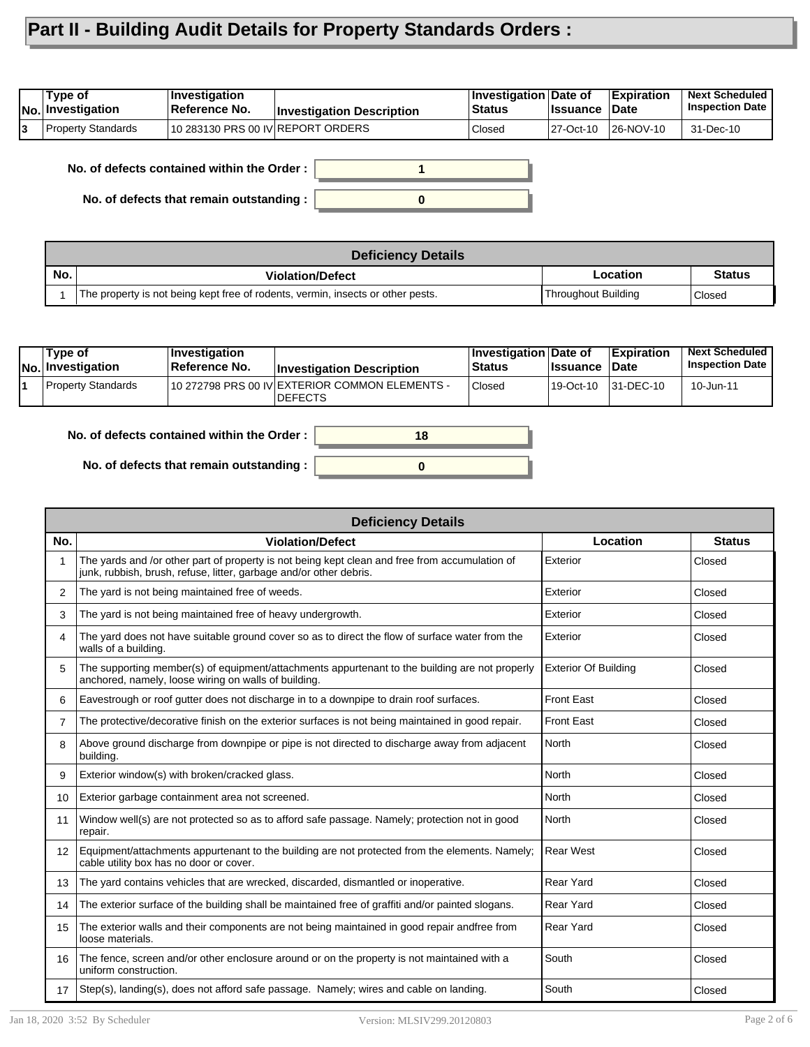## **Part II - Building Audit Details for Property Standards Orders :**

| Type of<br> No. Investigation | ∣Investiqation<br>⊺Reference No.  | <b>Investigation Description</b> | <b>Investigation Date of</b><br><b>Status</b> | <b>I</b> ssuance | <b>Expiration</b><br>⊺Date | <b>Next Scheduled</b><br><b>Inspection Date</b> |
|-------------------------------|-----------------------------------|----------------------------------|-----------------------------------------------|------------------|----------------------------|-------------------------------------------------|
| <b>Property Standards</b>     | 10 283130 PRS 00 IV REPORT ORDERS |                                  | Closed                                        | 27-Oct-10        | 26-NOV-10                  | 31-Dec-10                                       |

**No. of defects contained within the Order :**

**No. of defects that remain outstanding :**



|     | <b>Deficiency Details</b>                                                       |                     |               |  |  |  |
|-----|---------------------------------------------------------------------------------|---------------------|---------------|--|--|--|
| No. | <b>Violation/Defect</b>                                                         | Location            | <b>Status</b> |  |  |  |
|     | The property is not being kept free of rodents, vermin, insects or other pests. | Throughout Building | Closed        |  |  |  |

| Type of<br>No. Investigation | <b>Investigation</b><br>Reference No. | <b>Investigation Description</b>                           | <b>∣Investigation Date of</b><br><b>Status</b> | <b>Issuance</b> | <b>Expiration</b><br>∣Date | <b>Next Scheduled</b><br><b>Inspection Date I</b> |
|------------------------------|---------------------------------------|------------------------------------------------------------|------------------------------------------------|-----------------|----------------------------|---------------------------------------------------|
| Property Standards           |                                       | 10 272798 PRS 00 IV EXTERIOR COMMON ELEMENTS -<br>'DEFECTS | Closed                                         | 19-Oct-10       | $ 31 - DEC - 10 $          | 10-Jun-11                                         |

**0**

**18**

**No. of defects contained within the Order :**

**No. of defects that remain outstanding :**

|                 | <b>Deficiency Details</b>                                                                                                                                            |                             |               |  |  |  |  |  |
|-----------------|----------------------------------------------------------------------------------------------------------------------------------------------------------------------|-----------------------------|---------------|--|--|--|--|--|
| No.             | <b>Violation/Defect</b>                                                                                                                                              | Location                    | <b>Status</b> |  |  |  |  |  |
|                 | The yards and /or other part of property is not being kept clean and free from accumulation of<br>junk, rubbish, brush, refuse, litter, garbage and/or other debris. | Exterior                    | Closed        |  |  |  |  |  |
| 2               | The yard is not being maintained free of weeds.                                                                                                                      | Exterior                    | Closed        |  |  |  |  |  |
| 3               | The yard is not being maintained free of heavy undergrowth.                                                                                                          | Exterior                    | Closed        |  |  |  |  |  |
| 4               | The yard does not have suitable ground cover so as to direct the flow of surface water from the<br>walls of a building.                                              | Exterior                    | Closed        |  |  |  |  |  |
| 5               | The supporting member(s) of equipment/attachments appurtenant to the building are not properly<br>anchored, namely, loose wiring on walls of building.               | <b>Exterior Of Building</b> | Closed        |  |  |  |  |  |
| 6               | Eavestrough or roof gutter does not discharge in to a downpipe to drain roof surfaces.                                                                               | <b>Front East</b>           | Closed        |  |  |  |  |  |
| 7               | The protective/decorative finish on the exterior surfaces is not being maintained in good repair.                                                                    | <b>Front East</b>           | Closed        |  |  |  |  |  |
| 8               | Above ground discharge from downpipe or pipe is not directed to discharge away from adjacent<br>building.                                                            | <b>North</b>                | Closed        |  |  |  |  |  |
| 9               | Exterior window(s) with broken/cracked glass.                                                                                                                        | <b>North</b>                | Closed        |  |  |  |  |  |
| 10              | Exterior garbage containment area not screened.                                                                                                                      | <b>North</b>                | Closed        |  |  |  |  |  |
| 11              | Window well(s) are not protected so as to afford safe passage. Namely; protection not in good<br>repair.                                                             | <b>North</b>                | Closed        |  |  |  |  |  |
| 12 <sup>2</sup> | Equipment/attachments appurtenant to the building are not protected from the elements. Namely;<br>cable utility box has no door or cover.                            | <b>Rear West</b>            | Closed        |  |  |  |  |  |
| 13              | The yard contains vehicles that are wrecked, discarded, dismantled or inoperative.                                                                                   | Rear Yard                   | Closed        |  |  |  |  |  |
| 14              | The exterior surface of the building shall be maintained free of graffiti and/or painted slogans.                                                                    | Rear Yard                   | Closed        |  |  |  |  |  |
| 15              | The exterior walls and their components are not being maintained in good repair and free from<br>loose materials.                                                    | Rear Yard                   | Closed        |  |  |  |  |  |
| 16              | The fence, screen and/or other enclosure around or on the property is not maintained with a<br>uniform construction.                                                 | South                       | Closed        |  |  |  |  |  |
| 17              | Step(s), landing(s), does not afford safe passage. Namely; wires and cable on landing.                                                                               | South                       | Closed        |  |  |  |  |  |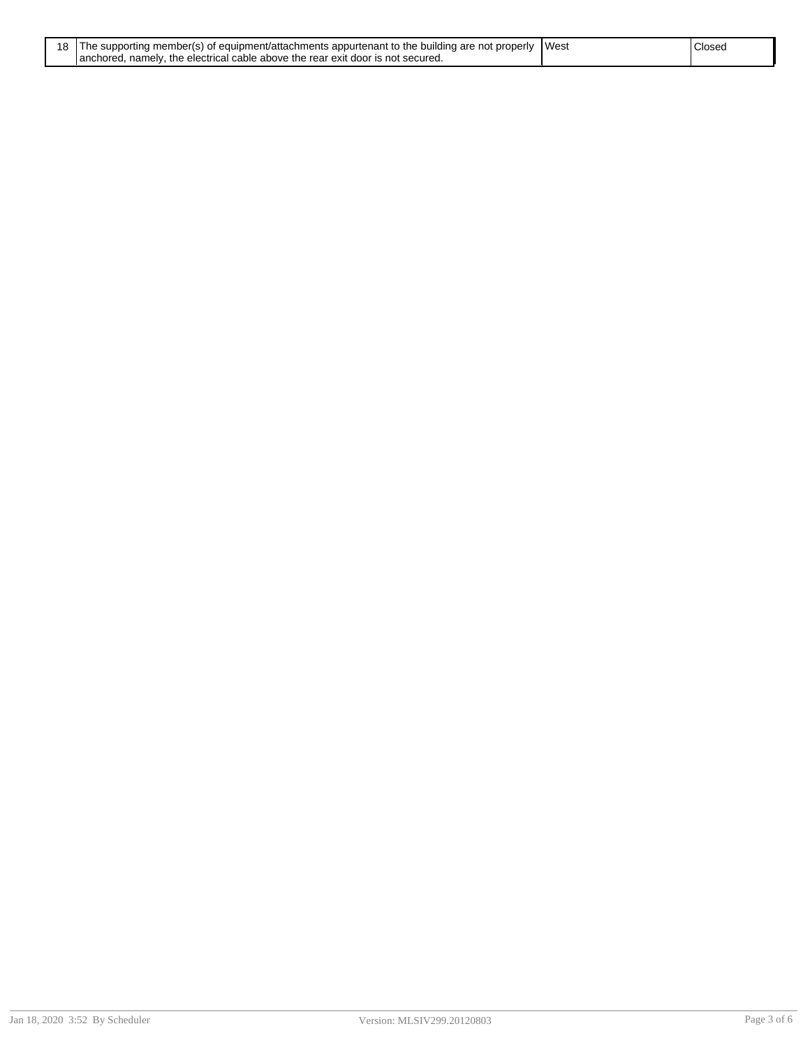| 18 The supporting member(s) of equipment/attachments appurtenant to the building are not properly  West | Closec |
|---------------------------------------------------------------------------------------------------------|--------|
| anchored, namely, the electrical cable above the rear exit door is not secured.                         |        |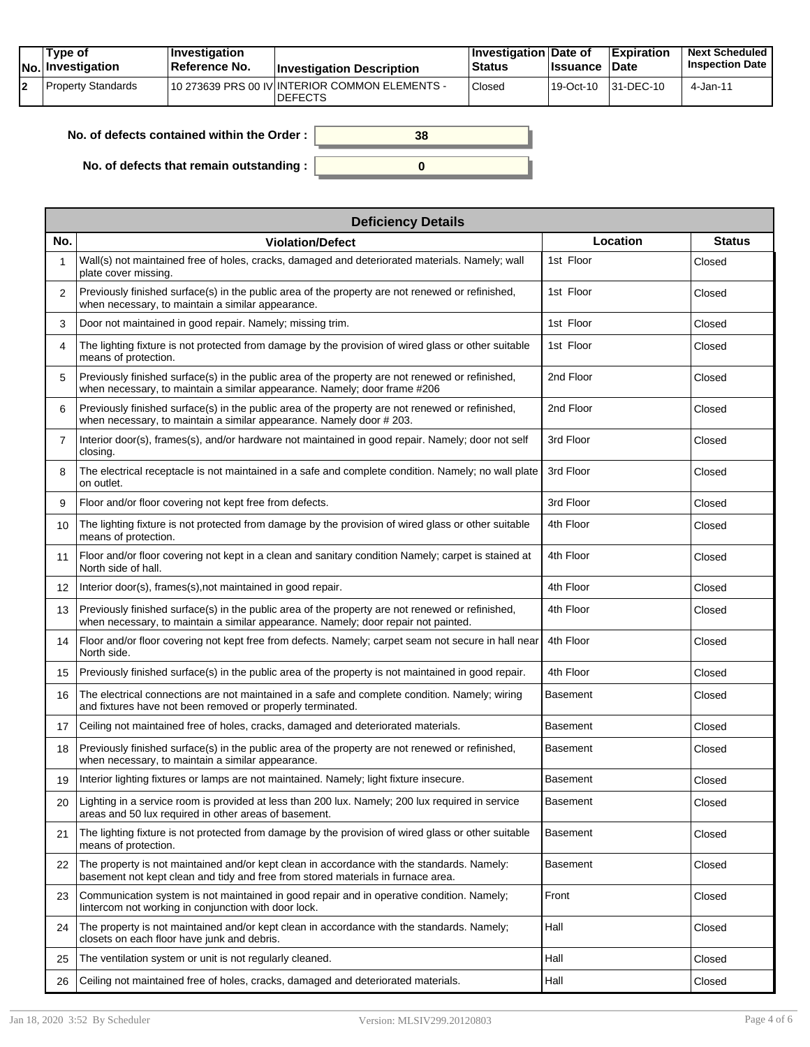| Tvpe of<br>No. Investigation | <b>Investigation</b><br>⊺Reference No. | <b>Investigation Description</b>                                  | <b>Investigation Date of</b><br>Status | <b>Issuance Date</b> | <b>Expiration</b> | <b>Next Scheduled</b><br><b>Inspection Date</b> |
|------------------------------|----------------------------------------|-------------------------------------------------------------------|----------------------------------------|----------------------|-------------------|-------------------------------------------------|
| Property Standards           |                                        | 110 273639 PRS 00 IV INTERIOR COMMON ELEMENTS -<br><b>DEFECTS</b> | Closed                                 | 19-Oct-10            | $ 31 - DEC - 10 $ | 4-Jan-11                                        |

| No. of defects contained within the Order: | 38 |
|--------------------------------------------|----|
| No. of defects that remain outstanding :   |    |

|                | <b>Deficiency Details</b>                                                                                                                                                              |                 |               |  |  |  |  |  |
|----------------|----------------------------------------------------------------------------------------------------------------------------------------------------------------------------------------|-----------------|---------------|--|--|--|--|--|
| No.            | <b>Violation/Defect</b>                                                                                                                                                                | Location        | <b>Status</b> |  |  |  |  |  |
| 1              | Wall(s) not maintained free of holes, cracks, damaged and deteriorated materials. Namely; wall<br>plate cover missing.                                                                 | 1st Floor       | Closed        |  |  |  |  |  |
| $\overline{2}$ | Previously finished surface(s) in the public area of the property are not renewed or refinished,<br>when necessary, to maintain a similar appearance.                                  | 1st Floor       | Closed        |  |  |  |  |  |
| 3              | Door not maintained in good repair. Namely; missing trim.                                                                                                                              | 1st Floor       | Closed        |  |  |  |  |  |
| 4              | The lighting fixture is not protected from damage by the provision of wired glass or other suitable<br>means of protection.                                                            | 1st Floor       | Closed        |  |  |  |  |  |
| 5              | Previously finished surface(s) in the public area of the property are not renewed or refinished,<br>when necessary, to maintain a similar appearance. Namely; door frame #206          | 2nd Floor       | Closed        |  |  |  |  |  |
| 6              | Previously finished surface(s) in the public area of the property are not renewed or refinished,<br>when necessary, to maintain a similar appearance. Namely door #203.                | 2nd Floor       | Closed        |  |  |  |  |  |
| $\overline{7}$ | Interior door(s), frames(s), and/or hardware not maintained in good repair. Namely; door not self<br>closing.                                                                          | 3rd Floor       | Closed        |  |  |  |  |  |
| 8              | The electrical receptacle is not maintained in a safe and complete condition. Namely; no wall plate<br>on outlet.                                                                      | 3rd Floor       | Closed        |  |  |  |  |  |
| 9              | Floor and/or floor covering not kept free from defects.                                                                                                                                | 3rd Floor       | Closed        |  |  |  |  |  |
| 10             | The lighting fixture is not protected from damage by the provision of wired glass or other suitable<br>means of protection.                                                            | 4th Floor       | Closed        |  |  |  |  |  |
| 11             | Floor and/or floor covering not kept in a clean and sanitary condition Namely; carpet is stained at<br>North side of hall.                                                             | 4th Floor       | Closed        |  |  |  |  |  |
| 12             | Interior door(s), frames(s), not maintained in good repair.                                                                                                                            | 4th Floor       | Closed        |  |  |  |  |  |
| 13             | Previously finished surface(s) in the public area of the property are not renewed or refinished,<br>when necessary, to maintain a similar appearance. Namely; door repair not painted. | 4th Floor       | Closed        |  |  |  |  |  |
| 14             | Floor and/or floor covering not kept free from defects. Namely; carpet seam not secure in hall near<br>North side.                                                                     | 4th Floor       | Closed        |  |  |  |  |  |
| 15             | Previously finished surface(s) in the public area of the property is not maintained in good repair.                                                                                    | 4th Floor       | Closed        |  |  |  |  |  |
| 16             | The electrical connections are not maintained in a safe and complete condition. Namely; wiring<br>and fixtures have not been removed or properly terminated.                           | Basement        | Closed        |  |  |  |  |  |
| 17             | Ceiling not maintained free of holes, cracks, damaged and deteriorated materials.                                                                                                      | <b>Basement</b> | Closed        |  |  |  |  |  |
| 18             | Previously finished surface(s) in the public area of the property are not renewed or refinished,<br>when necessary, to maintain a similar appearance.                                  | <b>Basement</b> | Closed        |  |  |  |  |  |
| 19             | Interior lighting fixtures or lamps are not maintained. Namely; light fixture insecure.                                                                                                | Basement        | Closed        |  |  |  |  |  |
| 20             | Lighting in a service room is provided at less than 200 lux. Namely; 200 lux required in service<br>areas and 50 lux required in other areas of basement.                              | Basement        | Closed        |  |  |  |  |  |
| 21             | The lighting fixture is not protected from damage by the provision of wired glass or other suitable<br>means of protection.                                                            | <b>Basement</b> | Closed        |  |  |  |  |  |
| 22             | The property is not maintained and/or kept clean in accordance with the standards. Namely:<br>basement not kept clean and tidy and free from stored materials in furnace area.         | <b>Basement</b> | Closed        |  |  |  |  |  |
| 23             | Communication system is not maintained in good repair and in operative condition. Namely;<br>lintercom not working in conjunction with door lock.                                      | Front           | Closed        |  |  |  |  |  |
| 24             | The property is not maintained and/or kept clean in accordance with the standards. Namely;<br>closets on each floor have junk and debris.                                              | Hall            | Closed        |  |  |  |  |  |
| 25             | The ventilation system or unit is not regularly cleaned.                                                                                                                               | Hall            | Closed        |  |  |  |  |  |
| 26             | Ceiling not maintained free of holes, cracks, damaged and deteriorated materials.                                                                                                      | Hall            | Closed        |  |  |  |  |  |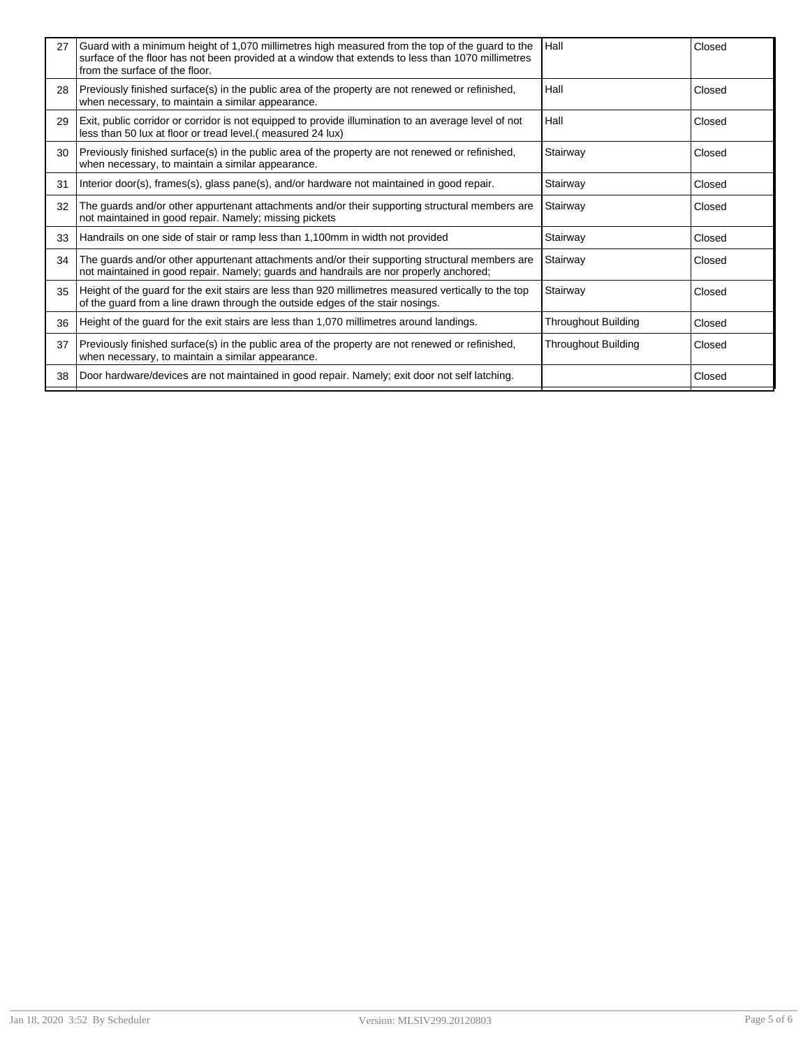| 27 | Guard with a minimum height of 1,070 millimetres high measured from the top of the guard to the<br>surface of the floor has not been provided at a window that extends to less than 1070 millimetres<br>from the surface of the floor. | Hall                       | Closed |
|----|----------------------------------------------------------------------------------------------------------------------------------------------------------------------------------------------------------------------------------------|----------------------------|--------|
| 28 | Previously finished surface(s) in the public area of the property are not renewed or refinished,<br>when necessary, to maintain a similar appearance.                                                                                  | Hall                       | Closed |
| 29 | Exit, public corridor or corridor is not equipped to provide illumination to an average level of not<br>less than 50 lux at floor or tread level.(measured 24 lux)                                                                     | Hall                       | Closed |
| 30 | Previously finished surface(s) in the public area of the property are not renewed or refinished,<br>when necessary, to maintain a similar appearance.                                                                                  | Stairway                   | Closed |
| 31 | Interior door(s), frames(s), glass pane(s), and/or hardware not maintained in good repair.                                                                                                                                             | Stairway                   | Closed |
| 32 | The guards and/or other appurtenant attachments and/or their supporting structural members are<br>not maintained in good repair. Namely; missing pickets                                                                               | Stairway                   | Closed |
| 33 | Handrails on one side of stair or ramp less than 1,100mm in width not provided                                                                                                                                                         | Stairway                   | Closed |
| 34 | The guards and/or other appurtenant attachments and/or their supporting structural members are<br>not maintained in good repair. Namely; guards and handrails are nor properly anchored;                                               | Stairway                   | Closed |
| 35 | Height of the guard for the exit stairs are less than 920 millimetres measured vertically to the top<br>of the guard from a line drawn through the outside edges of the stair nosings.                                                 | Stairway                   | Closed |
| 36 | Height of the guard for the exit stairs are less than 1,070 millimetres around landings.                                                                                                                                               | <b>Throughout Building</b> | Closed |
| 37 | Previously finished surface(s) in the public area of the property are not renewed or refinished,<br>when necessary, to maintain a similar appearance.                                                                                  | <b>Throughout Building</b> | Closed |
| 38 | Door hardware/devices are not maintained in good repair. Namely; exit door not self latching.                                                                                                                                          |                            | Closed |